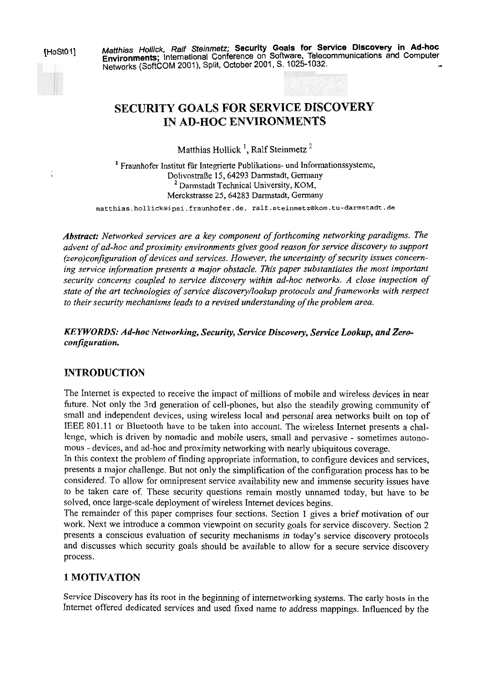HoSt01] Matthias Hollick, Ralf Steinmetz; Security Goals for Service Discovery in Ad-hoc<br>Environments; International Conference on Software, Telecommunications and Computer<br>Networks (SoftCOM 2001), Split, October 2001, S.

# **SECURITY GOALS FOR SERVICE DISCOVERY IN AD-HOC ENVIRONMENTS**

Matthias Hollick<sup>1</sup>, Ralf Steinmetz<sup>2</sup>

' Fraunhofer Institut für integrierte Publikations- und Informationssysteme, <sup>I</sup>Dolivostraße 15,64293 Darmstadt, Gerrnany <sup>2</sup> Darmstadt Technical University, KOM, Merckstrasse 25,64283 Darmstadt, Germany

**matthias.hollick@ipsi.fraunhofer.de, ralf.steinmetz@kom.tu-darmstadt.de** 

*Abstract: Networked sewices are a key component of forthcoming networking paradigms. The advent of ad-hoc and proximity environments gives good reason for service discovery to support (zero)configuration of devices und sewices. However, the uncertainy of securiy issues concerning sewice information presents a major obstacle. This paper substantiates the most important security concerns coupled to service discovery within ad-hoc networks. A close inspection of state of the art technologies of sewice discovery/lookup protocols andfiameworks with respect to their securiw mechanisms leads to a revised understanding of the problem area.* 

#### *KE YWORDS: Ad-hoc Networking, Security, Service Discovery, Service Lookup, and Zeroconfiguration.*

# **INTRODUCTION**

The Internet is expected to receive the impact of millions of mobile and wireless devices in near future. Not only the 3rd generation of cell-phones, but also the steadily growing community of small and independent devices, using wireless local and personal area networks built on top of EEE 801.1 1 or Bluetooth have to be taken into account. The wireless Internet presents a challenge, which is driven by nomadic and mobile users, small and pervasive - sometimes autonomous - devices, and ad-hoc and proximity networking with nearly ubiquitous coverage.

In this context the problem of finding appropriate information, to configure devices and services, presents a major challenge. But not only the simplification of the configuration process has to be considered. To allow for omnipresent service availability new and immense security issues have to be taken care of. These security questions remain mostly unnamed today, but have to be solved, once large-scale deployment of wireless Internet devices begins.

The remainder of this paper comprises four sections. Section 1 gives a brief motivation of our work. Next we introduce a common viewpoint on security goals for service discovery. Section 2 presents a conscious evaluation of security mechanisms in today's service discovery protocols and discusses which security goals should be available to allow for a secure service discovery process.

# **1 MOTIVATION**

Service Discovery has its root in the beginning of internetworking systems. The early hosts in the Internet offered dedicated services and used fixed name to address mappings. Influenced by the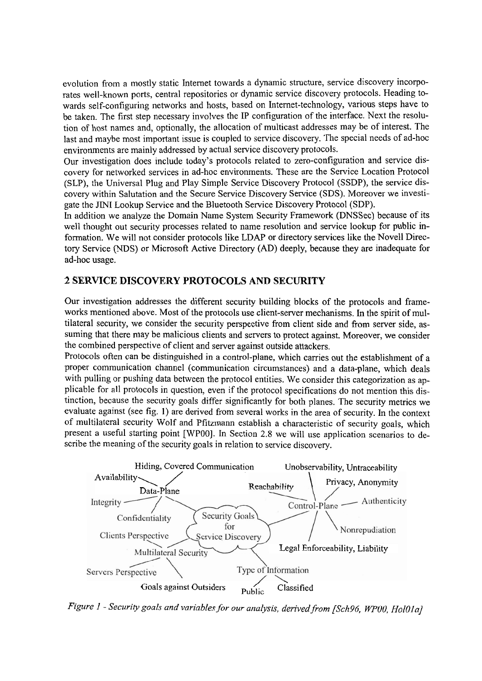evolution from a mostly static Internet towards a dynamic structure, service discovery incorporates weil-known ports, central repositories or dynamic service discovery protocols. Heading towards self-configuring networks and hosts, based on Intemet-technology, various steps have to be taken. The first step necessary involves the IP configuration of the interface. Next the resolution of host names and, optionally, the allocation of multicast addresses may be of interest. The last and maybe most important issue is coupled to service discovery. The special needs of ad-hoc environments are mainly addressed by actual service discovery protocols.

Our investigation does include today's protocols related to zero-configuration and service discovery for networked services in ad-hoc environments. These are the Service Location Protocol (SLP), the Universal Plug and Play Simple Service Discovery Protocol (SSDP), the service discovery within Salutation and the Secure Service Discovery Service (SDS). Moreover we investigate the JINI Lookup Service and the Bluetooth Service Discovery Protocol (SDP).

In addition we analyze the Domain Name System Security Framework (DNSSec) because of its well thought out security processes related to name resolution and service lookup for public information. We will not consider protocols like LDAP or directory services like the Novell Directory Service (NDS) or Microsoft Active Directory (AD) deeply, because they are inadequate for ad-hoc usage.

## **2 SERVICE DISCOVERY PROTOCOLS AND SECURITY**

Our investigation addresses the different security building blocks of the protocols and frameworks mentioned above. Most of the protocols use client-server mechanisms. In the spirit of multilateral security, we consider the security perspective from client side and fiom server side, assuming that there may be malicious clients and servers to protect against. Moreover, we consider the combined perspective of client and server against outside attackers.

Protocols often can be distinguished in a control-plane, which carries out the establishment of a proper communication channel (communication circumstances) and a data-plane, which deals with pulling or pushing data between the protocol entities. We consider this categorization as applicable for all protocols in question, even if the protocol specifications do not mention this distinction, because the security goals differ significantly for both planes. The security metrics we evaluate against (see fig. 1) are derived from several works in the area of security. In the context of multilateral security Wolf and Pfitzmann establish a characteristic of security goals, which scribe the meaning of the security goals in relation to service discovery.



*Figure 1 - Security goals and variables for our analysis, derived from [Sch96, WP00, Hol01a]*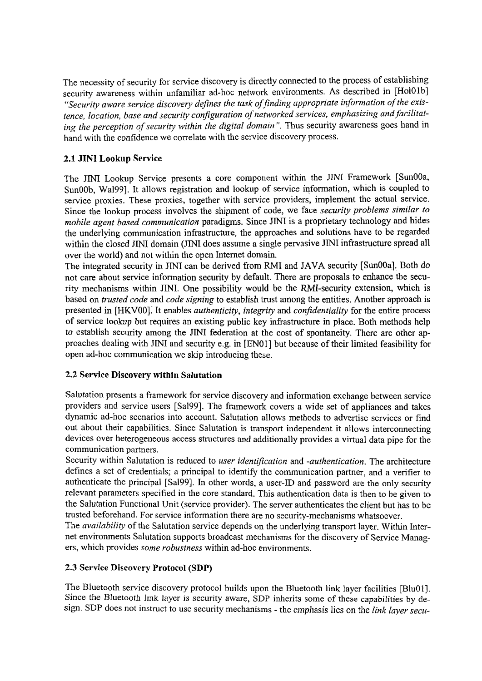The necessity of security for service discovery is directly connected to the process of establishing security awareness within unfamiliar ad-hoc network environments. As described in [HolOlb] "Security aware service discovery defines the task of finding appropriate information of the exis*tence, location, base und security conjguration of networked services, emphasizing und facilitating the perception of securify within the digital domnin* ". Thus security awareness goes hand in hand with the confidence we correlate with the service discovery process.

## **2.1 JINI Lookup Service**

The JINI Lookup Service presents a core component within the JINI Framework [SunOOa, SunOOb, Wa1991. It allows registration and lookup of service information, which is coupled to service proxies. These proxies, together with service providers, implement the actual service. Since the lookup process involves the shipment of code, we face *security problems similar to mobik agent based communication* paradigms. Since JNI is a proprietary technology and hides the underlying communication infrastructure, the approaches and solutions have to be regarded within the closed JINI domain (JINI does assume a single pervasive JINI infrastructure spread all over the world) and not within the Open Internet domain.

The integrated security in JINI can be derived from RMI and JAVA security [SunOOa]. Both do not care about service information security by default. There are proposals to enhance the security mechanisms within JINI. One possibility would be the RMI-security extension, which is based on *trusted code* and *code signing* to establish trust among the entities. Another approach is presented in [HKVOO]: It enables *authenticity, integrity* and *conjdentiality* for the entire process of service lookup but requires an existing public key infrastructure in place. Both methods help to establish security among the JINI federation at the cost of spontaneity. There are other approaches dealing with JINI and security e.g. in [ENOl] but because of their limited feasibility for Open ad-hoc communication we skip introducing these.

#### **2.2 Service Discovery within Salutation**

Salutation presents a framework for service discovery and information exchange between service providers and service users [Sa199]. The framework covers a wide set of appliances and takes dynamic ad-hoc scenarios into account. Salutation allows methods to advertise services or find out about their capabilities. Since Salutation is transport independent it allows interconnecting devices over heterogeneous access structures and additionally provides a viriual data pipe for the communication partners.

Security within Salutation is reduced to *user identification* and *-authentication*. The architecture defines a set of credentials; a principal to identify the communication partner, and a verifier to authenticate the principal [Sa199]. In other words, a user-ID and password are the only security relevant parameters specified in the core Standard. This authentication data is then to be given to the Salutation Functional Unit (service provider). The Server authenticates the client but has to be trusted beforehand. For service information there are no security-mechanisms whatsoever.

The *nvailability* of the Salutation service depends on the underlying transport layer. Within Internet environments Salutation supports broadcast mechanisms for the discovery of Service Managers, which provides *some robustness* within ad-hoc environments.

#### **2.3 Service Discovery Protocol (SDP)**

The Bluetooth service discovery protocol builds upon the Bluetooth link layer facilities [BluOl]. Since the Bluetooth link layer is security aware, SDP inherits some of these capabilities by design. SDP does not instruct to use security mechanisms - the emphasis lies on the *link layer secu-*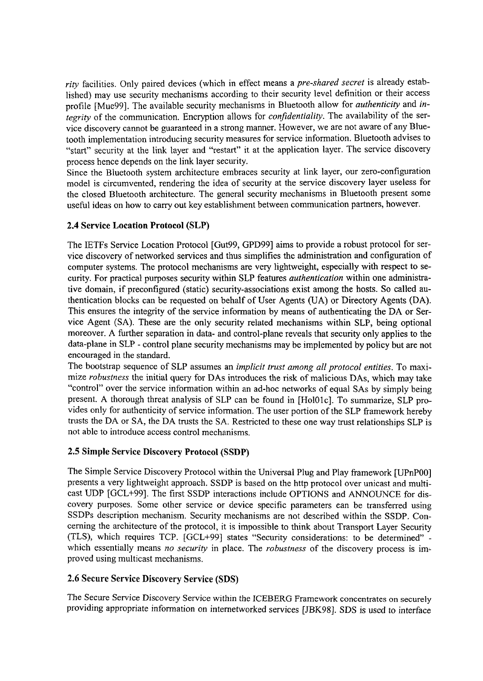*rity* facilities. Only paired devices (which in effect means a *pre-shared secret* is already established) may use security mechanisms according to their security level definition or their access profile [Mue99]. The available security mechanisms in Bluetooth allow for *authenticity* and *integrity* of the communication. Encryption allows for *confidentiality.* The availability of the service discovery cannot be guaranteed in a strong manner. However, we are not aware of any Bluetooth implementation introducing security measures for service information. Bluetooth advises to "start" security at the link layer and "restart" it at the application layer. The service discovery process hence depends on the link layer security.

Since the Bluetooth system architecture embraces security at link layer, our zero-configuration model is circumvented, rendering the idea of security at the service discovery layer useless for the closed Bluetooth architecture. The general security mechanisms in Bluetooth present some useful ideas on how to cany out key establishrnent between communication partners, however.

### **2.4 Service Location Protocol (SLP)**

The IETFs Service Location Protocol [Gut99, GPD991 aims to provide a robust protocol for service discovery of networked services and thus simplifies the administration and configuration of computer systems. The protocol mechanisms are very lightweight, especially with respect to security. For practical purposes security within SLP features *authentication* within one administrative domain, if preconfigured (static) security-associations exist among the hosts. So called authentication blocks can be requested on behalf of User Agents **(UA)** or Directory Agents (DA). This ensures the integrity of the service information by means of authenticating the DA or Service Agent (SA). These are the only security related mechanisms within SLP, being optional moreover. A further separation in data- and control-plane reveals that security only applies to the data-plane in SLP - control plane security mechanisms may be implemented by policy but are not encouraged in the standard.

The bootstrap sequence of SLP assumes an *implicit trust among all protocol entities.* To maximize *robustness* the initial query for DAS introduces the risk of malicious DAS, which may take "control" over the service information within an ad-hoc networks of equal SAs by simply being present. A thorough threat analysis of SLP can be found in [HolO1c]. To summarize, SLP provides only for authenticity of service information. The user portion of the SLP framework hereby trusts the DA or SA, the DA trusts the SA. Restricted to these one way trust relationships SLP is not able to introduce access control mechanisms.

#### **2.5 Simple Service Discovery Protocol (SSDP)**

The Simple Service Discovery Protocol within the Universal Plug and Play framework [UPnPOO] presents a very lightweight approach. SSDP is based on the http protocol over unicast and mutticast UDP [GCL+99]. The first SSDP interactions include OPTIONS and ANNOUNCE for discovery purposes. Some other service or device specific parameters can be transferred using SSDPs description mechanism. Security mechanisms are not described within the SSDP. Conceming the architecture of the protocol, it is impossible to think about Transport Layer Security (TLS), which requires TCP. [GCL+99] states "Security considerations: to be determined" which essentially means *no security* in place. The *robustness* of the discovery process is improved using multicast mechanisms.

#### **2.6 Secure Service Discovery Service (SDS)**

The Secure Service Discovery Service within the ICEBERG Framework concentrates on securely providing appropriate information on internetworked services [JBK98]. SDS is used to interface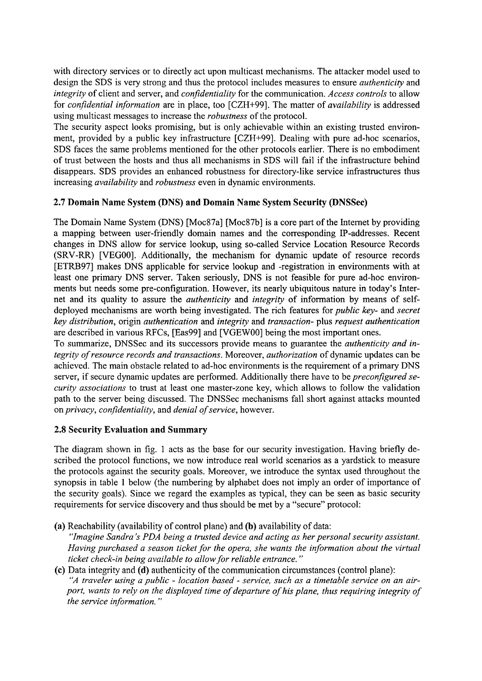with directory services or to directly act upon multicast mechanisms. The attacker model used to design the SDS is very strong and thus the protocol includes measures to ensure *authenticity* and *integrity* of client and server, and *conjidentiality* for the communication. *Access controls* to allow for *conJidentia1 information* are in place, too [CZH+99]. The matter of *availability* is addressed using multicast messages to increase the *robustness* of the protocol.

The security aspect looks promising, but is only achievable within an existing trusted environment, provided by a public key infrastructure [CZH+99]. Dealing with pure ad-hoc scenarios, SDS faces the Same problems mentioned for the other protocols earlier. There is no embodiment of trust between the hosts and thus all mechanisms in SDS will fail if the infiastructure behind disappears. SDS provides an enhanced robustness for directory-like service infrastructures thus increasing *availability* and *robustness* even in dynamic environments.

## **2.7 Domain Name System @NS) and Domain Name System Security (DNSSec)**

The Domain Name System (DNS) [Moc87a] [Moc87b] is a core part of the Internet by providing a mapping between user-friendly domain names and the corresponding P-addresses. Recent changes in DNS allow for service lookup, using so-called Service Location Resource Records (SRV-RR) [VEGOO]. Additionally, the mechanism for dynamic update of resource records [ETRB97] makes DNS applicable for service lookup and -registration in environments with at least one primary DNS server. Taken seriously, DNS is not feasible for pure ad-hoc environments but needs some pre-configuration. However, its nearly ubiquitous nature in today's Internet and its quality to assure the *authenticity* and *integrity* of information by means of selfdeployed mechanisms are worth being investigated. The rich features for *public key-* and *secret key distribution,* origin *authentication* and *integrity* and *transaction-* plus *request authentication*  are described in various RFCs, [Eas99] and [VGEWOO] being the most important ones.

To sumrnarize, DNSSec and its successors provide means to guarantee the *authenticity und integrity of resource records und transactions.* Moreover, *authorization* of dynamic updates can be achieved. The main obstacle related to ad-hoc environments is the requirement of a primary DNS server, if secure dynamic updates are performed. Additionally there have to be *preconfigured security associations* to trust at least one master-zone key, which allows to follow the validation path to the server being discussed. The DNSSec mechanisms fall short against attacks mounted *onprivacy, confidentiality,* and *denial of sewice,* however.

#### **2.8 Security Evaluation and Summary**

The diagram shown in fig. 1 acts as the base for our security investigation. Having briefly described the protocol functions, we now introduce real world scenarios as a yardstick to measure the protocols against the security goals. Moreover, we introduce the syntax used throughout the synopsis in table 1 below (the numbering by alphabet does not imply an order of importance of the security goals). Since we regard the examples as typical, they can be Seen as basic security requirements for service discovery and thus should be met by a "secure" protocol:

**(a)** Reachability (availability of control plane) and **(b)** availability of data:

"Imagine Sandra's PDA being a trusted device and acting as her personal security assistant. *Having purchased a season ticket for the Opera, she wants the information about the virtual ticket check-in being available to allow for reliable entrance.* "

**(C)** Data integrity and **(d)** authenticity of the communication circumstances (control plane): "A traveler using a public - location based - service, such as a timetable service on an air*port, wants to rely on the displayed time of departure of his plane, thus requiring integrity of the sewice information.* "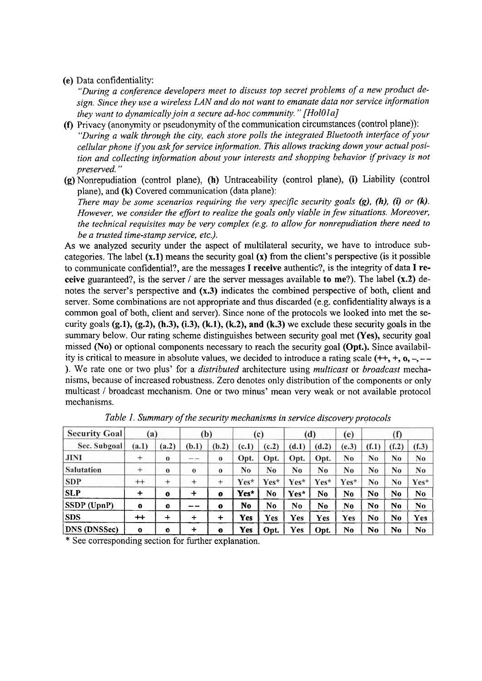#### (e) Data confidentiality:

*"During a conference developers meet to discuss top secret problems of a new product design. Since they use a wireless LAN und do not want to emanate data nor service information they Want to dynamically join a secure ad-hoc cornmunity.* " *[HolOla]* 

- **(f)** Privacy (anonymity or pseudonymity of the comrnunication circumstances (control plane)): *"During a walk through the ciiy, each store polls the integrated Bluetooth interface of your cellular phone ifyou ask for service information. This allows tracking down your actual position and collecting information about your interests and shopping behavior if privacy is not preserved.* "
- **(g)** Nonrepudiation (control plane), **(h)** Untraceability (control plane), **(i)** Liability (control plane), and **(k)** Covered communication (data plane):

*There may be some scenarios requiring the very specific security goals (g), (h), (i) or (k). However, we consider the effort to realize the goals only viable in few situations. Moreover, the technical requisites may be very complex (e.g. to allow for nonrepudiation there need to be a trusted time-stamp service, etc.).* 

As we analyzed security under the aspect of multilateral security, we have to introduce subcategories. The label **(x.1)** means the security goal **(X)** fiom the client's perspective (is it possible to communicate confidential?, are the messages I receive authentic?, is the integrity of data I receive guaranteed?, is the server 1 are the server messages available **to** me?). The label **(x.2)** denotes the server's perspective and **(x.3)** indicates the combined perspective of both, client and server. Some combinations are not appropriate and thus discarded (e.g. confidentiality always is a cornrnon goal of both, client and server). Since none of the protocols we looked into met the security goals **(g.l), (g.2), (h.3), (i.3), (k.l), (k.2), and (k.3)** we exclude these security goals in the Summary below. Our rating scheme distinguishes between security goal met (Yes), security goal missed **(No)** or optional components necessary to reach the security goal **(Opt.).** Since availability is critical to measure in absolute values, we decided to introduce a rating scale  $(++, +, 0, -, -$ ). We rate one or two plus' for a *distributed* architecture using *multicast* or *broadcast* mechanisms, because of increased robustness. Zero denotes only distribution of the components or only multicast / broadcast mechanism. One or two minus' mean very weak or not available protocol mechanisms.

| <b>Security Goal</b> | $\bf(a)$           |              | (b)       |              | (c)   |                | (d)            |       | (e)   | $\bf (1)$ |                |                |
|----------------------|--------------------|--------------|-----------|--------------|-------|----------------|----------------|-------|-------|-----------|----------------|----------------|
| Sec. Subgoal         | (a.1)              | (a.2)        | (b.1)     | (b.2)        | (c.1) | (c.2)          | (d.1)          | (d.2) | (e.3) | (f.1)     | (f.2)          | (f.3)          |
| <b>JINI</b>          | $^{+}$             | $\bf{0}$     |           | $\bf{0}$     | Opt.  | Opt.           | Opt.           | Opt.  | No.   | No        | N <sub>0</sub> | N <sub>0</sub> |
| Salutation           | $\hspace{0.1mm} +$ | $\bf{0}$     | $\bf{0}$  | $\bf{0}$     | No    | No             | N <sub>0</sub> | No    | No    | No        | N <sub>0</sub> | N <sub>0</sub> |
| <b>SDP</b>           | $^{++}$            | $^{+}$       | $^{+}$    | $\pm$        | Yes*  | Yes*           | Yes*           | Yes*  | Yes*  | No        | N <sub>0</sub> | Yes*           |
| SLP                  | $\div$             | $\mathbf 0$  | +         | $\mathbf{o}$ | Yes*  | N <sub>0</sub> | Yes*           | No    | No    | No        | N <sub>0</sub> | No.            |
| SSDP (UpnP)          | $\mathbf 0$        | $\mathbf{o}$ |           | $\mathbf o$  | No    | N <sub>0</sub> | No.            | No    | No    | No        | No             | No             |
| <b>SDS</b>           | $^+$               | $\div$       | $\div$    | $\div$       | Yes   | Yes            | Yes            | Yes   | Yes   | No        | No             | Yes            |
| <b>DNS</b> (DNSSec)  | $\mathbf 0$        | $\Omega$     | $\ddot{}$ | $\mathbf o$  | Yes   | Opt.           | <b>Yes</b>     | Opt.  | No    | No        | No             | No             |

*Table 1. Summary of the security mechanisms in sewice discovery protocols* 

\* See corresponding section for further explanation.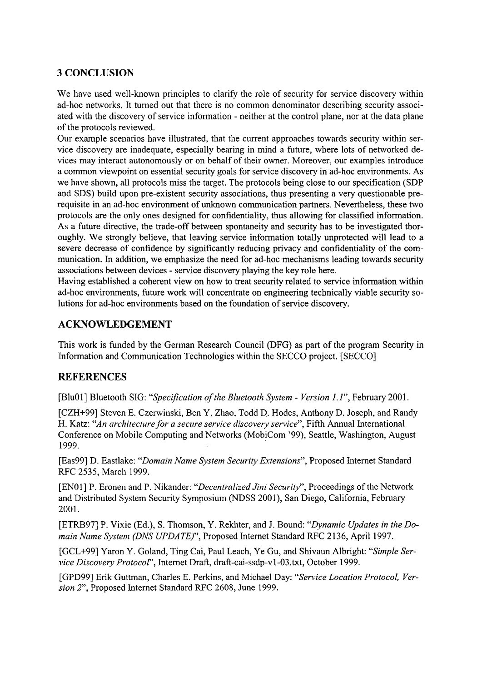# **3 CONCLUSION**

We have used well-known principles to clarify the role of security for service discovery within ad-hoc networks. It tumed out that there is no common denominator describing security associated with the discovery of service information - neither at the control plane, nor at the data plane of the protocols reviewed.

Our example scenarios have illustrated, that the current approaches towards security within service discovery are inadequate, especially bearing in mind a future, where lots of networked devices may interact autonomously or on behalf of their owner. Moreover, our examples introduce a common viewpoint on essential security goals for service discovery in ad-hoc environments. As we have shown, all protocols miss the target. The protocols being close to our specification (SDP and SDS) build upon pre-existent security associations, thus presenting a very questionable prerequisite in an ad-hoc environment of unknown communication partners. Nevertheless, these two protocols are the only ones designed for confidentiality, thus allowing for classified information. As a future directive, the trade-off between spontaneity and security has to be investigated thoroughly. We strongly believe, that leaving service information totally unprotected will lead to a severe decrease of confidence by significantly reducing privacy and confidentiality of the communication. In addition, we emphasize the need for ad-hoc mechanisms leading towards security associations between devices - service discovery playing the key role here.

Having established a coherent view on how to treat security related to service information within ad-hoc environments, future work will concentrate on engineering technically viable security solutions for ad-hoc environments based on the foundation of service discovery.

# **ACKNOWLEDGEMENT**

This work is funded by the German Research Council (DFG) as part of the program Security in Information and Communication Technologies within the SECCO project. [SECCO]

# **REFERENCES**

[Blu01] Bluetooth SIG: "Specification of the Bluetooth System - Version 1.1", February 2001.

[CZH+99] Steven E. Czenvinski, Ben Y. Zhao, Todd D. Hodes, Anthony D. Joseph, and Randy H. Katz: "An architecture for a secure service discovery service", Fifth Annual International Conference on Mobile Computing and Networks (MobiCom '99), Seattle, Washington, August 1999.

[Eas99] D. Eastlake: "Domain Name System Security Extensions", Proposed Internet Standard RFC 2535, March 1999.

[EN01] P. Eronen and P. Nikander: "Decentralized Jini Security", Proceedings of the Network and Distributed System Security Symposium (NDSS 2001), San Diego, California, February 2001.

[ETRB97] P. Vixie (Ed.), S. Thomson, Y. Rekhter, and J. Bound: "Dynamic Updates in the Domain Name System (DNS UPDATE)", Proposed Internet Standard RFC 2136, April 1997.

[GCL+99] Yaron Y. Goland, Ting Cai, Paul Leach, Ye Gu, and Shivaun Albright: "Simple Service Discovery Protocol", Lnternet Draft, **draft-cai-ssdp-vl-03.txt,** October 1999.

[GPD99] Erik Guttman, Charles E. Perkins, and Michael Day: "Service Location Protocol, Version *2",* Proposed Lnternet Standard RFC 2608, June 1999.